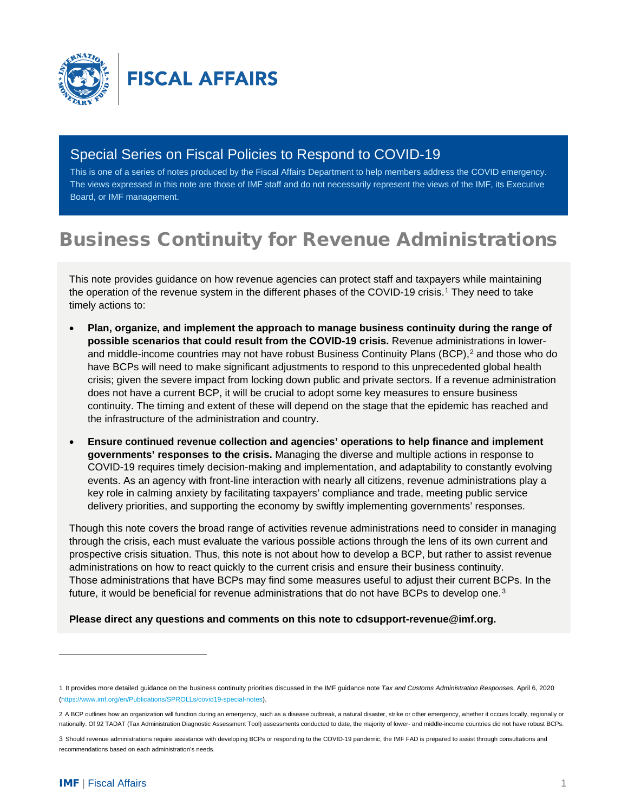

# Special Series on Fiscal Policies to Respond to COVID-19

This is one of a series of notes produced by the Fiscal Affairs Department to help members address the COVID emergency. The views expressed in this note are those of IMF staff and do not necessarily represent the views of the IMF, its Executive Board, or IMF management.

# Business Continuity for Revenue Administrations

This note provides guidance on how revenue agencies can protect staff and taxpayers while maintaining the operation of the revenue system in the different phases of the COVID-[1](#page-0-0)9 crisis.<sup>1</sup> They need to take timely actions to:

- **Plan, organize, and implement the approach to manage business continuity during the range of possible scenarios that could result from the COVID-19 crisis.** Revenue administrations in lower-and middle-income countries may not have robust Business Continuity Plans (BCP),<sup>[2](#page-0-1)</sup> and those who do have BCPs will need to make significant adjustments to respond to this unprecedented global health crisis; given the severe impact from locking down public and private sectors. If a revenue administration does not have a current BCP, it will be crucial to adopt some key measures to ensure business continuity. The timing and extent of these will depend on the stage that the epidemic has reached and the infrastructure of the administration and country.
- **Ensure continued revenue collection and agencies' operations to help finance and implement governments' responses to the crisis.** Managing the diverse and multiple actions in response to COVID-19 requires timely decision-making and implementation, and adaptability to constantly evolving events. As an agency with front-line interaction with nearly all citizens, revenue administrations play a key role in calming anxiety by facilitating taxpayers' compliance and trade, meeting public service delivery priorities, and supporting the economy by swiftly implementing governments' responses.

Though this note covers the broad range of activities revenue administrations need to consider in managing through the crisis, each must evaluate the various possible actions through the lens of its own current and prospective crisis situation. Thus, this note is not about how to develop a BCP, but rather to assist revenue administrations on how to react quickly to the current crisis and ensure their business continuity. Those administrations that have BCPs may find some measures useful to adjust their current BCPs. In the future, it would be beneficial for revenue administrations that do not have BCPs to develop one.<sup>[3](#page-0-2)</sup>

**Please direct any questions and comments on this note to [cdsupport-revenue@imf.org.](mailto:cdsupport-revenue@imf.org)**

<span id="page-0-0"></span><sup>1</sup> It provides more detailed guidance on the business continuity priorities discussed in the IMF guidance note *Tax and Customs Administration Responses*, April 6, 2020 [\(https://www.imf.org/en/Publications/SPROLLs/covid19-special-notes\).](https://www.imf.org/en/Publications/SPROLLs/covid19-special-notes)

<span id="page-0-1"></span><sup>2</sup> A BCP outlines how an organization will function during an emergency, such as a disease outbreak, a natural disaster, strike or other emergency, whether it occurs locally, regionally or nationally. Of 92 TADAT (Tax Administration Diagnostic Assessment Tool) assessments conducted to date, the majority of lower- and middle-income countries did not have robust BCPs.

<span id="page-0-2"></span><sup>3</sup> Should revenue administrations require assistance with developing BCPs or responding to the COVID-19 pandemic, the IMF FAD is prepared to assist through consultations and recommendations based on each administration's needs.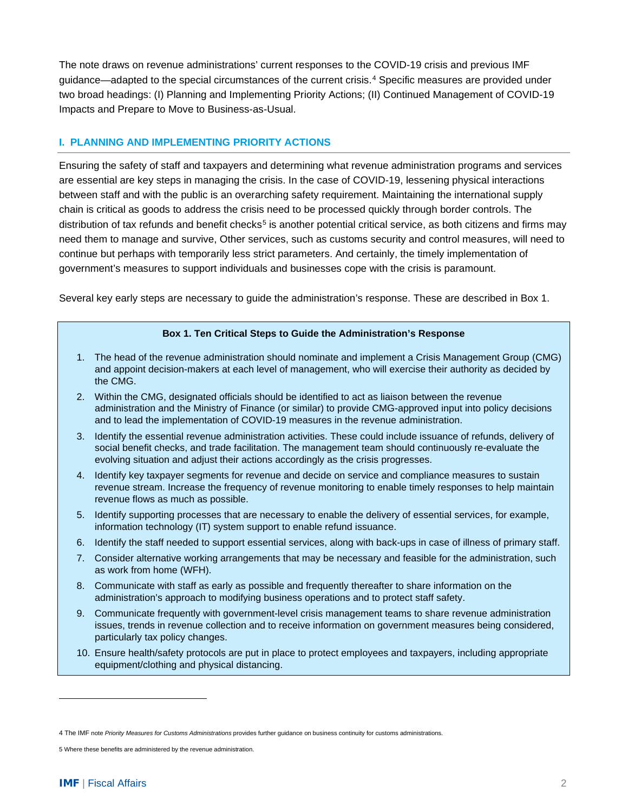The note draws on revenue administrations' current responses to the COVID-19 crisis and previous IMF guidance—adapted to the special circumstances of the current crisis.[4](#page-1-0) Specific measures are provided under two broad headings: (I) Planning and Implementing Priority Actions; (II) Continued Management of COVID-19 Impacts and Prepare to Move to Business-as-Usual.

### **I. PLANNING AND IMPLEMENTING PRIORITY ACTIONS**

Ensuring the safety of staff and taxpayers and determining what revenue administration programs and services are essential are key steps in managing the crisis. In the case of COVID-19, lessening physical interactions between staff and with the public is an overarching safety requirement. Maintaining the international supply chain is critical as goods to address the crisis need to be processed quickly through border controls. The distribution of tax refunds and benefit checks<sup>[5](#page-1-1)</sup> is another potential critical service, as both citizens and firms may need them to manage and survive, Other services, such as customs security and control measures, will need to continue but perhaps with temporarily less strict parameters. And certainly, the timely implementation of government's measures to support individuals and businesses cope with the crisis is paramount.

Several key early steps are necessary to guide the administration's response. These are described in Box 1.

#### **Box 1. Ten Critical Steps to Guide the Administration's Response**

- 1. The head of the revenue administration should nominate and implement a Crisis Management Group (CMG) and appoint decision-makers at each level of management, who will exercise their authority as decided by the CMG.
- 2. Within the CMG, designated officials should be identified to act as liaison between the revenue administration and the Ministry of Finance (or similar) to provide CMG-approved input into policy decisions and to lead the implementation of COVID-19 measures in the revenue administration.
- 3. Identify the essential revenue administration activities. These could include issuance of refunds, delivery of social benefit checks, and trade facilitation. The management team should continuously re-evaluate the evolving situation and adjust their actions accordingly as the crisis progresses.
- 4. Identify key taxpayer segments for revenue and decide on service and compliance measures to sustain revenue stream. Increase the frequency of revenue monitoring to enable timely responses to help maintain revenue flows as much as possible.
- 5. Identify supporting processes that are necessary to enable the delivery of essential services, for example, information technology (IT) system support to enable refund issuance.
- 6. Identify the staff needed to support essential services, along with back-ups in case of illness of primary staff.
- 7. Consider alternative working arrangements that may be necessary and feasible for the administration, such as work from home (WFH).
- 8. Communicate with staff as early as possible and frequently thereafter to share information on the administration's approach to modifying business operations and to protect staff safety.
- 9. Communicate frequently with government-level crisis management teams to share revenue administration issues, trends in revenue collection and to receive information on government measures being considered, particularly tax policy changes.
- 10. Ensure health/safety protocols are put in place to protect employees and taxpayers, including appropriate equipment/clothing and physical distancing.

<span id="page-1-0"></span><sup>4</sup> The IMF note *Priority Measures for Customs Administrations* provides further guidance on business continuity for customs administrations.

<span id="page-1-1"></span><sup>5</sup> Where these benefits are administered by the revenue administration.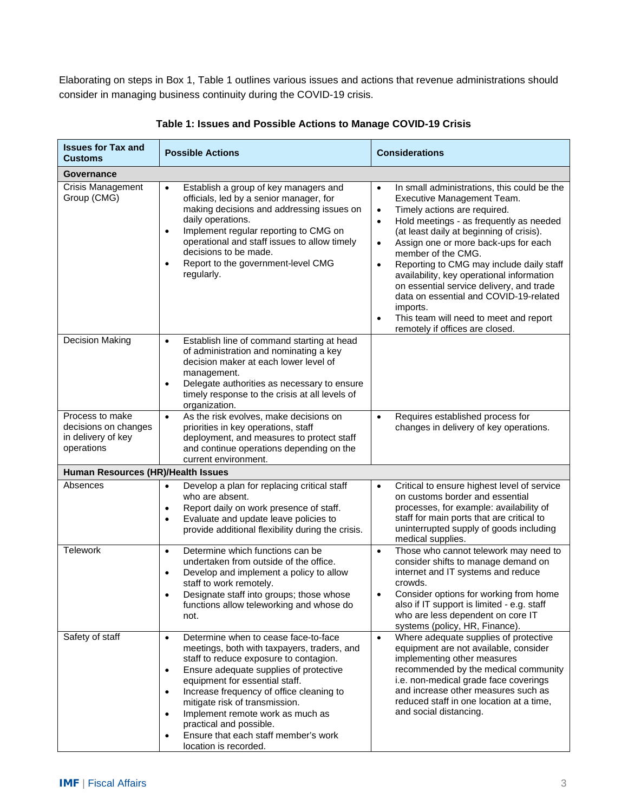Elaborating on steps in Box 1, Table 1 outlines various issues and actions that revenue administrations should consider in managing business continuity during the COVID-19 crisis.

| <b>Issues for Tax and</b><br><b>Customs</b>                                 | <b>Possible Actions</b>                                                                                                                                                                                                                                                                                                                                                                                                                                                     | <b>Considerations</b>                                                                                                                                                                                                                                                                                                                                                                                                                                                                                                                                                                                                |  |  |
|-----------------------------------------------------------------------------|-----------------------------------------------------------------------------------------------------------------------------------------------------------------------------------------------------------------------------------------------------------------------------------------------------------------------------------------------------------------------------------------------------------------------------------------------------------------------------|----------------------------------------------------------------------------------------------------------------------------------------------------------------------------------------------------------------------------------------------------------------------------------------------------------------------------------------------------------------------------------------------------------------------------------------------------------------------------------------------------------------------------------------------------------------------------------------------------------------------|--|--|
| Governance                                                                  |                                                                                                                                                                                                                                                                                                                                                                                                                                                                             |                                                                                                                                                                                                                                                                                                                                                                                                                                                                                                                                                                                                                      |  |  |
| <b>Crisis Management</b><br>Group (CMG)                                     | Establish a group of key managers and<br>$\bullet$<br>officials, led by a senior manager, for<br>making decisions and addressing issues on<br>daily operations.<br>Implement regular reporting to CMG on<br>$\bullet$<br>operational and staff issues to allow timely<br>decisions to be made.<br>Report to the government-level CMG<br>$\bullet$<br>regularly.                                                                                                             | In small administrations, this could be the<br>$\bullet$<br>Executive Management Team.<br>Timely actions are required.<br>$\bullet$<br>Hold meetings - as frequently as needed<br>$\bullet$<br>(at least daily at beginning of crisis).<br>Assign one or more back-ups for each<br>$\bullet$<br>member of the CMG.<br>Reporting to CMG may include daily staff<br>$\bullet$<br>availability, key operational information<br>on essential service delivery, and trade<br>data on essential and COVID-19-related<br>imports.<br>This team will need to meet and report<br>$\bullet$<br>remotely if offices are closed. |  |  |
| <b>Decision Making</b>                                                      | Establish line of command starting at head<br>$\bullet$<br>of administration and nominating a key<br>decision maker at each lower level of<br>management.<br>Delegate authorities as necessary to ensure<br>$\bullet$<br>timely response to the crisis at all levels of<br>organization.                                                                                                                                                                                    |                                                                                                                                                                                                                                                                                                                                                                                                                                                                                                                                                                                                                      |  |  |
| Process to make<br>decisions on changes<br>in delivery of key<br>operations | As the risk evolves, make decisions on<br>$\bullet$<br>priorities in key operations, staff<br>deployment, and measures to protect staff<br>and continue operations depending on the<br>current environment.                                                                                                                                                                                                                                                                 | Requires established process for<br>$\bullet$<br>changes in delivery of key operations.                                                                                                                                                                                                                                                                                                                                                                                                                                                                                                                              |  |  |
| Human Resources (HR)/Health Issues                                          |                                                                                                                                                                                                                                                                                                                                                                                                                                                                             |                                                                                                                                                                                                                                                                                                                                                                                                                                                                                                                                                                                                                      |  |  |
| Absences                                                                    | Develop a plan for replacing critical staff<br>$\bullet$<br>who are absent.<br>Report daily on work presence of staff.<br>$\bullet$<br>Evaluate and update leave policies to<br>$\bullet$<br>provide additional flexibility during the crisis.                                                                                                                                                                                                                              | Critical to ensure highest level of service<br>$\bullet$<br>on customs border and essential<br>processes, for example: availability of<br>staff for main ports that are critical to<br>uninterrupted supply of goods including<br>medical supplies.                                                                                                                                                                                                                                                                                                                                                                  |  |  |
| <b>Telework</b>                                                             | Determine which functions can be<br>$\bullet$<br>undertaken from outside of the office.<br>Develop and implement a policy to allow<br>$\bullet$<br>staff to work remotely.<br>Designate staff into groups; those whose<br>functions allow teleworking and whose do<br>not.                                                                                                                                                                                                  | Those who cannot telework may need to<br>$\bullet$<br>consider shifts to manage demand on<br>internet and IT systems and reduce<br>crowds.<br>Consider options for working from home<br>also if IT support is limited - e.g. staff<br>who are less dependent on core IT<br>systems (policy, HR, Finance).                                                                                                                                                                                                                                                                                                            |  |  |
| Safety of staff                                                             | Determine when to cease face-to-face<br>$\bullet$<br>meetings, both with taxpayers, traders, and<br>staff to reduce exposure to contagion.<br>Ensure adequate supplies of protective<br>$\bullet$<br>equipment for essential staff.<br>Increase frequency of office cleaning to<br>$\bullet$<br>mitigate risk of transmission.<br>Implement remote work as much as<br>$\bullet$<br>practical and possible.<br>Ensure that each staff member's work<br>location is recorded. | Where adequate supplies of protective<br>$\bullet$<br>equipment are not available, consider<br>implementing other measures<br>recommended by the medical community<br>i.e. non-medical grade face coverings<br>and increase other measures such as<br>reduced staff in one location at a time,<br>and social distancing.                                                                                                                                                                                                                                                                                             |  |  |

**Table 1: Issues and Possible Actions to Manage COVID-19 Crisis**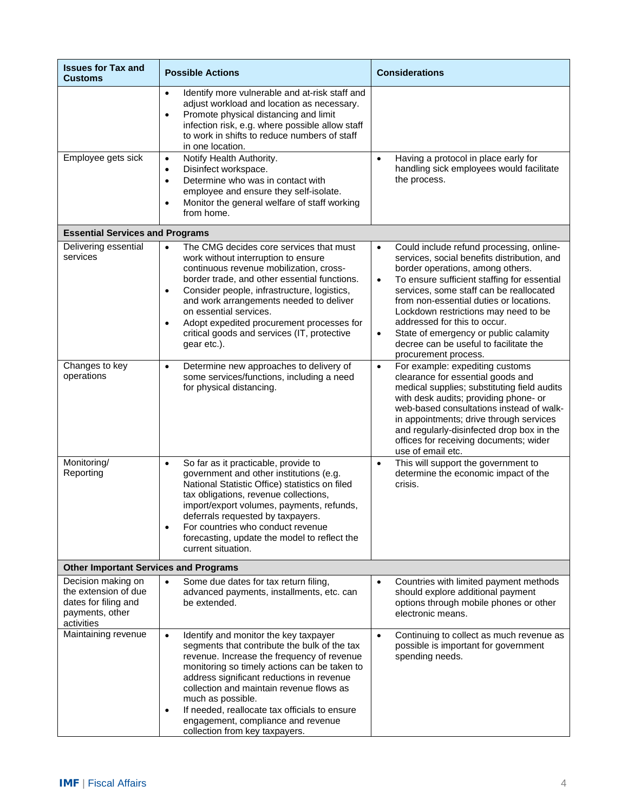| <b>Issues for Tax and</b><br><b>Customs</b>                                                         | <b>Possible Actions</b>                                                                                                                                                                                                                                                                                                                                                                                                                              | <b>Considerations</b>                                                                                                                                                                                                                                                                                                                                                                                                                                                                      |  |  |
|-----------------------------------------------------------------------------------------------------|------------------------------------------------------------------------------------------------------------------------------------------------------------------------------------------------------------------------------------------------------------------------------------------------------------------------------------------------------------------------------------------------------------------------------------------------------|--------------------------------------------------------------------------------------------------------------------------------------------------------------------------------------------------------------------------------------------------------------------------------------------------------------------------------------------------------------------------------------------------------------------------------------------------------------------------------------------|--|--|
|                                                                                                     | Identify more vulnerable and at-risk staff and<br>$\bullet$<br>adjust workload and location as necessary.<br>Promote physical distancing and limit<br>$\bullet$<br>infection risk, e.g. where possible allow staff<br>to work in shifts to reduce numbers of staff<br>in one location.                                                                                                                                                               |                                                                                                                                                                                                                                                                                                                                                                                                                                                                                            |  |  |
| Employee gets sick                                                                                  | Notify Health Authority.<br>$\bullet$<br>Disinfect workspace.<br>$\bullet$<br>Determine who was in contact with<br>$\bullet$<br>employee and ensure they self-isolate.<br>Monitor the general welfare of staff working<br>$\bullet$<br>from home.                                                                                                                                                                                                    | Having a protocol in place early for<br>$\bullet$<br>handling sick employees would facilitate<br>the process.                                                                                                                                                                                                                                                                                                                                                                              |  |  |
| <b>Essential Services and Programs</b>                                                              |                                                                                                                                                                                                                                                                                                                                                                                                                                                      |                                                                                                                                                                                                                                                                                                                                                                                                                                                                                            |  |  |
| Delivering essential<br>services                                                                    | The CMG decides core services that must<br>$\bullet$<br>work without interruption to ensure<br>continuous revenue mobilization, cross-<br>border trade, and other essential functions.<br>Consider people, infrastructure, logistics,<br>$\bullet$<br>and work arrangements needed to deliver<br>on essential services.<br>Adopt expedited procurement processes for<br>$\bullet$<br>critical goods and services (IT, protective<br>gear etc.).      | Could include refund processing, online-<br>$\bullet$<br>services, social benefits distribution, and<br>border operations, among others.<br>To ensure sufficient staffing for essential<br>$\bullet$<br>services, some staff can be reallocated<br>from non-essential duties or locations.<br>Lockdown restrictions may need to be<br>addressed for this to occur.<br>State of emergency or public calamity<br>$\bullet$<br>decree can be useful to facilitate the<br>procurement process. |  |  |
| Changes to key<br>operations                                                                        | Determine new approaches to delivery of<br>$\bullet$<br>some services/functions, including a need<br>for physical distancing.                                                                                                                                                                                                                                                                                                                        | For example: expediting customs<br>$\bullet$<br>clearance for essential goods and<br>medical supplies; substituting field audits<br>with desk audits; providing phone- or<br>web-based consultations instead of walk-<br>in appointments; drive through services<br>and regularly-disinfected drop box in the<br>offices for receiving documents; wider<br>use of email etc.                                                                                                               |  |  |
| Monitoring/<br>Reporting                                                                            | So far as it practicable, provide to<br>$\bullet$<br>government and other institutions (e.g.<br>National Statistic Office) statistics on filed<br>tax obligations, revenue collections,<br>import/export volumes, payments, refunds,<br>deferrals requested by taxpayers.<br>For countries who conduct revenue<br>$\bullet$<br>forecasting, update the model to reflect the<br>current situation.                                                    | This will support the government to<br>$\bullet$<br>determine the economic impact of the<br>crisis.                                                                                                                                                                                                                                                                                                                                                                                        |  |  |
| <b>Other Important Services and Programs</b>                                                        |                                                                                                                                                                                                                                                                                                                                                                                                                                                      |                                                                                                                                                                                                                                                                                                                                                                                                                                                                                            |  |  |
| Decision making on<br>the extension of due<br>dates for filing and<br>payments, other<br>activities | Some due dates for tax return filing,<br>$\bullet$<br>advanced payments, installments, etc. can<br>be extended.                                                                                                                                                                                                                                                                                                                                      | Countries with limited payment methods<br>$\bullet$<br>should explore additional payment<br>options through mobile phones or other<br>electronic means.                                                                                                                                                                                                                                                                                                                                    |  |  |
| Maintaining revenue                                                                                 | Identify and monitor the key taxpayer<br>$\bullet$<br>segments that contribute the bulk of the tax<br>revenue. Increase the frequency of revenue<br>monitoring so timely actions can be taken to<br>address significant reductions in revenue<br>collection and maintain revenue flows as<br>much as possible.<br>If needed, reallocate tax officials to ensure<br>$\bullet$<br>engagement, compliance and revenue<br>collection from key taxpayers. | Continuing to collect as much revenue as<br>$\bullet$<br>possible is important for government<br>spending needs.                                                                                                                                                                                                                                                                                                                                                                           |  |  |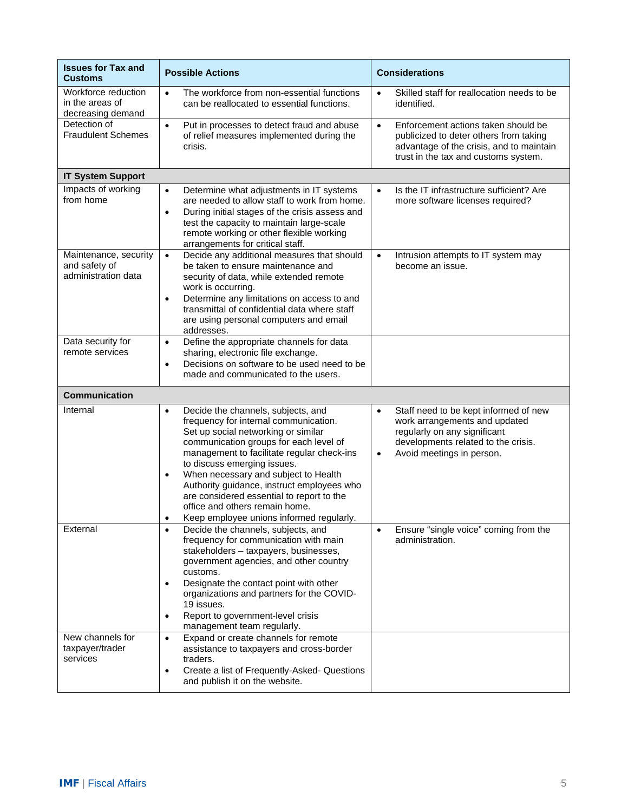| <b>Issues for Tax and</b><br><b>Customs</b>                   | <b>Possible Actions</b>                                                                                                                                                                                                                                                                                                                                                                                                                                                              | <b>Considerations</b>                                                                                                                                                                                |
|---------------------------------------------------------------|--------------------------------------------------------------------------------------------------------------------------------------------------------------------------------------------------------------------------------------------------------------------------------------------------------------------------------------------------------------------------------------------------------------------------------------------------------------------------------------|------------------------------------------------------------------------------------------------------------------------------------------------------------------------------------------------------|
| Workforce reduction<br>in the areas of<br>decreasing demand   | The workforce from non-essential functions<br>$\bullet$<br>can be reallocated to essential functions.                                                                                                                                                                                                                                                                                                                                                                                | Skilled staff for reallocation needs to be<br>$\bullet$<br>identified.                                                                                                                               |
| Detection of<br><b>Fraudulent Schemes</b>                     | Put in processes to detect fraud and abuse<br>$\bullet$<br>of relief measures implemented during the<br>crisis.                                                                                                                                                                                                                                                                                                                                                                      | Enforcement actions taken should be<br>$\bullet$<br>publicized to deter others from taking<br>advantage of the crisis, and to maintain<br>trust in the tax and customs system.                       |
| <b>IT System Support</b>                                      |                                                                                                                                                                                                                                                                                                                                                                                                                                                                                      |                                                                                                                                                                                                      |
| Impacts of working<br>from home                               | Determine what adjustments in IT systems<br>$\bullet$<br>are needed to allow staff to work from home.<br>During initial stages of the crisis assess and<br>$\bullet$<br>test the capacity to maintain large-scale<br>remote working or other flexible working<br>arrangements for critical staff.                                                                                                                                                                                    | Is the IT infrastructure sufficient? Are<br>$\bullet$<br>more software licenses required?                                                                                                            |
| Maintenance, security<br>and safety of<br>administration data | Decide any additional measures that should<br>$\bullet$<br>be taken to ensure maintenance and<br>security of data, while extended remote<br>work is occurring.<br>Determine any limitations on access to and<br>$\bullet$<br>transmittal of confidential data where staff<br>are using personal computers and email<br>addresses.                                                                                                                                                    | Intrusion attempts to IT system may<br>$\bullet$<br>become an issue.                                                                                                                                 |
| Data security for<br>remote services                          | Define the appropriate channels for data<br>$\bullet$<br>sharing, electronic file exchange.<br>Decisions on software to be used need to be<br>$\bullet$<br>made and communicated to the users.                                                                                                                                                                                                                                                                                       |                                                                                                                                                                                                      |
| <b>Communication</b>                                          |                                                                                                                                                                                                                                                                                                                                                                                                                                                                                      |                                                                                                                                                                                                      |
| Internal                                                      | Decide the channels, subjects, and<br>$\bullet$<br>frequency for internal communication.<br>Set up social networking or similar<br>communication groups for each level of<br>management to facilitate regular check-ins<br>to discuss emerging issues.<br>When necessary and subject to Health<br>$\bullet$<br>Authority guidance, instruct employees who<br>are considered essential to report to the<br>office and others remain home.<br>Keep employee unions informed regularly. | Staff need to be kept informed of new<br>$\bullet$<br>work arrangements and updated<br>regularly on any significant<br>developments related to the crisis.<br>Avoid meetings in person.<br>$\bullet$ |
| External                                                      | Decide the channels, subjects, and<br>frequency for communication with main<br>stakeholders - taxpayers, businesses,<br>government agencies, and other country<br>customs.<br>Designate the contact point with other<br>organizations and partners for the COVID-<br>19 issues.<br>Report to government-level crisis<br>management team regularly.                                                                                                                                   | Ensure "single voice" coming from the<br>$\bullet$<br>administration.                                                                                                                                |
| New channels for<br>taxpayer/trader<br>services               | Expand or create channels for remote<br>$\bullet$<br>assistance to taxpayers and cross-border<br>traders.<br>Create a list of Frequently-Asked- Questions<br>$\bullet$<br>and publish it on the website.                                                                                                                                                                                                                                                                             |                                                                                                                                                                                                      |